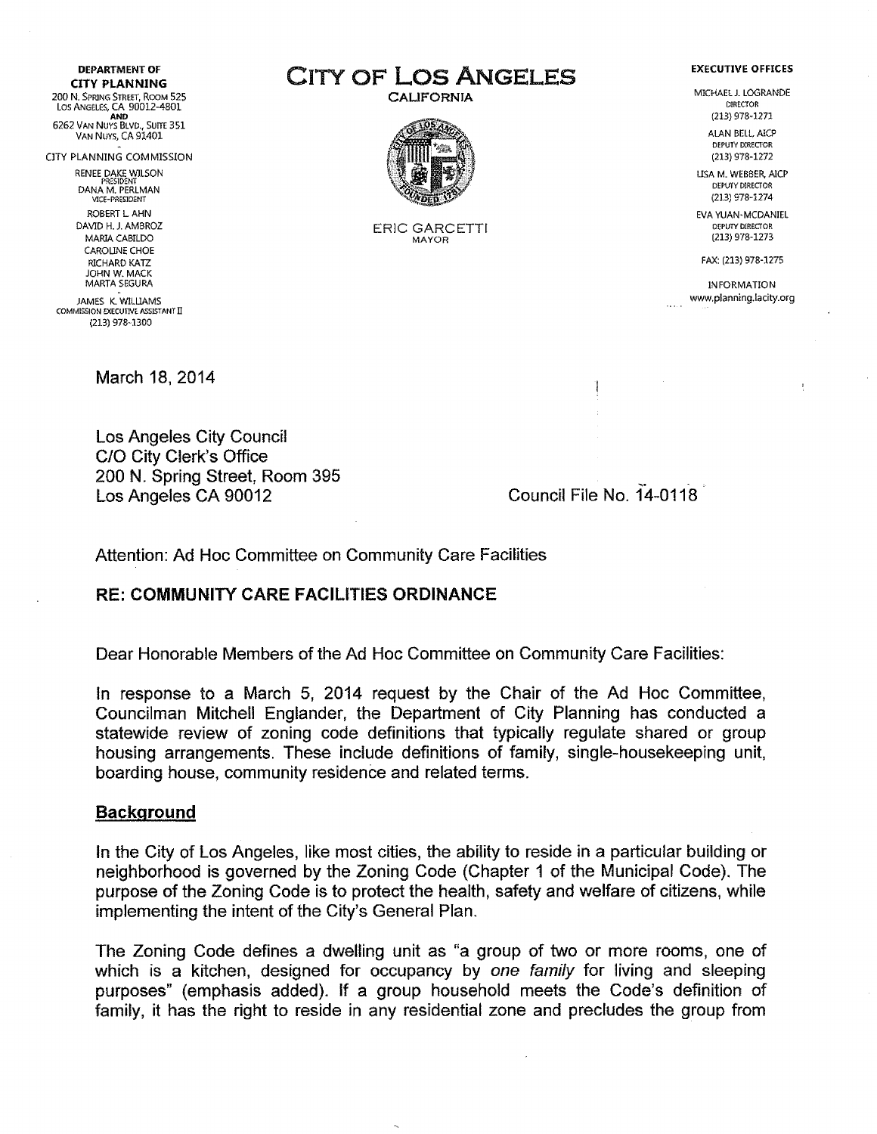DEPARTMENT OF CITY PLANNING 200 N. SPRING STREET, ROOM 525 Los ANGELES, CA 90012-4801 AND 6262 VAN NUYS BLVD., SUITE 351

VAN NUYS, CA 91401

ClTY PLANNING COMMISSION

RENEE DAKE WILSON PRESIDENT DANA M. PERLMAN VICE-PRESlDENT

ROBERTLAHN DAVID H. J. AMBROZ MARIA CABILDO CAROliNE CHOE RICHARD KATZ JOHN W. MACK MARTA SEGURA

.<br>JAMES K. WILLIAM COMMISSION EXECUTIVE ASSISTANT Il (213) 978-1300

March 18, 2014

Los Angeles City Council C/O City Clerk's Office 200 N. Spring Street, Room 395 Los Angeles CA 90012

~. Council File No. 14-0118

Attention: Ad Hoc Committee on Community Care Facilities

#### RE: COMMUNITY CARE FACILITIES ORDINANCE

Dear Honorable Members of the Ad Hoc Committee on Community Care Facilities:

In response to a March 5, 2014 request by the Chair of the Ad Hoc Committee, Councilman Mitchell Englander, the Department of City Planning has conducted a statewide review of zoning code definitions that typically regulate shared or group housing arrangements. These include definitions of family, single-housekeeping unit, boarding house, community residence and related terms.

#### Background

In the City of Los Angeles, like most cities, the ability to reside in a particular building or neighborhood is governed by the Zoning Code (Chapter 1 of the Municipal Code). The purpose of the Zoning Code is to protect the health, safety and welfare of citizens, while implementing the intent of the City's General Plan.

The Zoning Code defines a dwelling unit as "a group of two or more rooms, one of which is a kitchen, designed for occupancy by *one family* for living and sleeping purposes" (emphasis added). If a group household meets the Code's definition of family, it has the right to reside in any residential zone and precludes the group from

CITY OF Los ANGELES

CALIFORNIA



ERIC GARCETTI MAYOR

#### EXECUTIVE OFFICES

MICHAEL J. LOGRANDE DIRECTOR (213) 978-1271

> ALAN BELL, AICP DEPUTY DlRECTOR (213) 978-1272

USA M. WEBBER, AlCP DEPUTY DIRECTOR (213) 978-1274

EVA YUAN-MCDANIEL DEPUTY DIRECTOR (213) 978-1273

FAX: (213) 978-1275

INFORMATION www.planning.lacity.org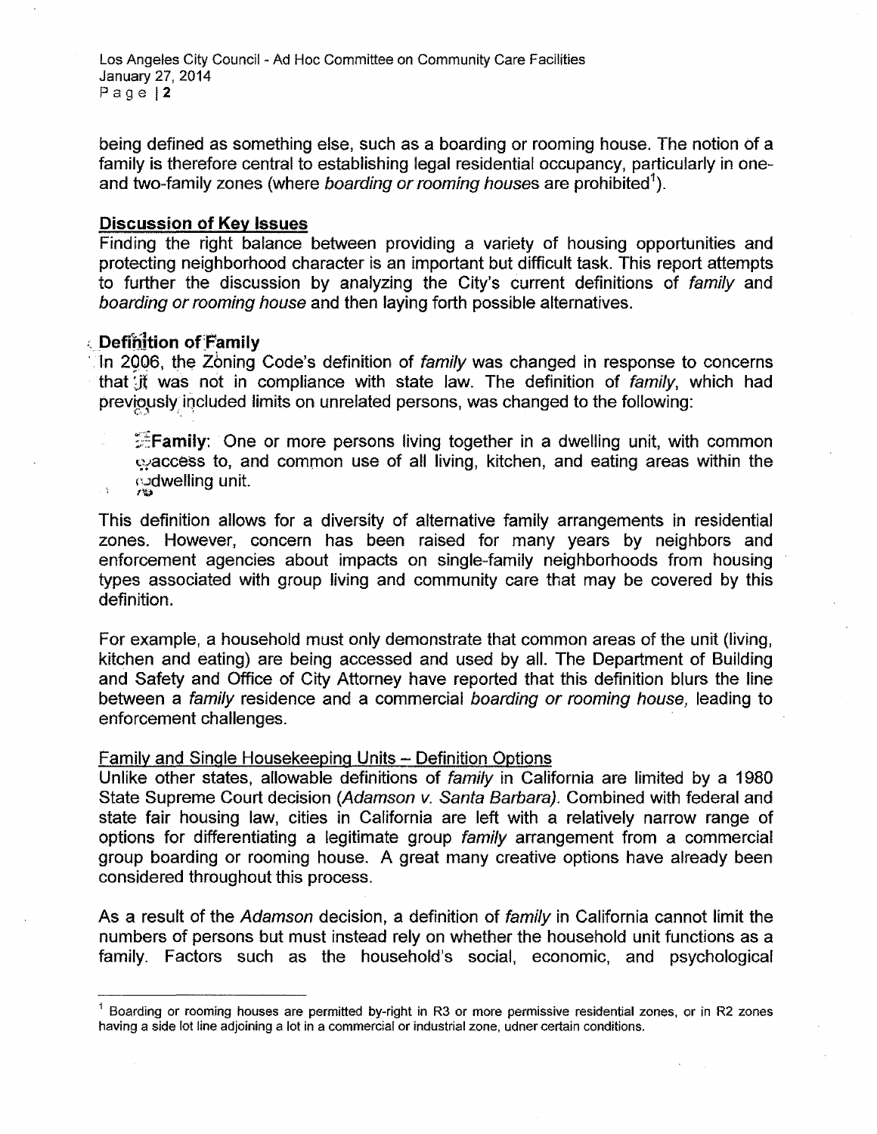Los Angeles City Council - Ad Hoc Committee on Community Care Facilities January 27, 2014 Page 12

being defined as something else, such as a boarding or rooming house. The notion of a family is therefore central to establishing legal residential occupancy, particularly in oneand two-family zones (where *boarding* or*rooming houses* are prohibited").

#### **Discussion of Key** Issues

Finding the right balance between providing a variety of housing opportunities and protecting neighborhood character is an important but difficult task. This report attempts to further the discussion by analyzing the City's current definitions of *family* and *boarding* or*rooming house* and then laying forth possible alternatives.

## ;,Deffhhion of Family

In 2006, the Zoning Code's definition of *family* was changed in response to concerns that Jt was not in compliance with state law. The definition of *family,* which had previously included limits on unrelated persons, was changed to the following:

 $\mathbb{Z}$  Family: One or more persons living together in a dwelling unit, with common  $\sim$ access to, and common use of all living, kitchen, and eating areas within the ്ര**dwelling unit.** 'u

This definition allows for a diversity of alternative family arrangements in residential zones. However, concern has been raised for many years by neighbors and enforcement agencies about impacts on single-family neighborhoods from housing types associated with group living and community care that may be covered by this definition.

For example, a household must only demonstrate that common areas of the unit (living, kitchen and eating) are being accessed and used by all. The Department of Building and Safety and Office of City Attorney have reported that this definition blurs the line between a *family* residence and a commercial *boarding* or *rooming house,* leading to enforcement challenges.

#### Family and Single Housekeeping Units - Definition Options

Unlike other states, allowable definitions of *family* in California are limited by a 1980 State Supreme Court decision *(Adamson* v, *Santa Barbara).* Combined with federal and state fair housing law, cities in California are left with a relatively narrow range of options for differentiating a legitimate group *family* arrangement from a commercial group boarding or rooming house. A great many creative options have already been considered throughout this process.

As a result of the *Adamson* decision, a definition of *family* in California cannot limit the numbers of persons but must instead rely on whether the household unit functions as a family. Factors such as the household's social, economic, and psychological

 $<sup>1</sup>$  Boarding or rooming houses are permitted by-right in R3 or more permissive residential zones, or in R2 zones</sup> having a side lot line adjoining a lot in a commercial or industrial zone, udner certain conditions.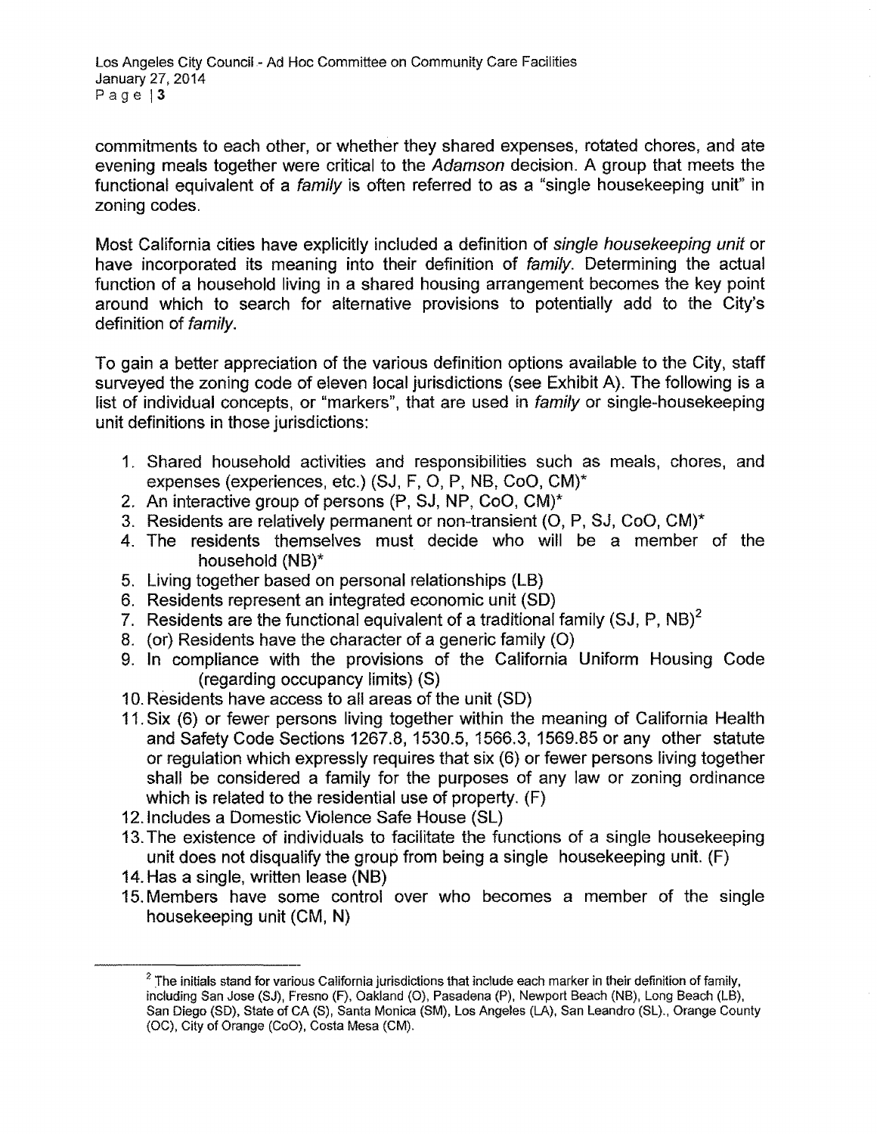commitments to each other, or whether they shared expenses, rotated chores, and ate evening meals together were critical to the *Adamson* decision. A group that meets the functional equivalent of a *family* is often referred to as a "single housekeeping unit" in zoning codes.

Most California cities have explicitly included a definition of *single housekeeping unit* or have incorporated its meaning into their definition of *family.* Determining the actual function of a household living in a shared housing arrangement becomes the key point around which to search for alternative provisions to potentially add to the City's definition of *family.*

To gain a better appreciation of the various definition options available to the City, staff surveyed the zoning code of eleven local jurisdictions (see Exhibit A). The following is a list of individual concepts, or "markers", that are used in *family* or single-housekeeping unit definitions in those jurisdictions:

- 1. Shared household activities and responsibilities such as meals, chores, and expenses (experiences, etc.) (SJ, F, 0, P, NB, CoO, CM)\*
- 2. An interactive group of persons (P, SJ, NP, CoO, CM)\*
- 3. Residents are relatively permanent or non-transient (0, P, SJ, CoO, CM)\*
- 4. The residents themselves must decide who will be a member of the household (NB)\*
- 5. Living together based on personal relationships (LB)
- 6. Residents represent an integrated economic unit (SD)
- 7. Residents are the functional equivalent of a traditional family  $(SJ, P, NB)^2$
- 8. (or) Residents have the character of a generic family (0)
- 9. In compliance with the provisions of the California Uniform Housing Code (regarding occupancy limits) (S)
- 10.Residents have access to all areas of the unit (SD)
- 11.Six (6) or fewer persons living together within the meaning of California Health and Safety Code Sections 1267.8, 1530.5, 1566.3, 1569.85 or any other statute or regulation which expressly requires that six (6) or fewer persons living together shall be considered a family for the purposes of any law or zoning ordinance which is related to the residential use of property. (F)
- 12. Includes a Domestic Violence Safe House (SL)
- 13.The existence of individuals to facilitate the functions of a single housekeeping unit does not disqualify the group from being a single housekeeping unit. (F)
- 14.Has a single, written lease (NB)
- 15.Members have some control over who becomes a member of the single housekeeping unit (CM, N)

 $2$  The initials stand for various California jurisdictions that include each marker in their definition of family, including San Jose (SJ), Fresno (F), Oakland (0), Pasadena (P), Newport Beach (NB), Long Beach (LB), San Diego (SD), State of CA (S), Santa Monica (SM), Los Angeles (LA), San Leandro (SL)., Orange County (OC), City of Orange (CoO), Costa Mesa (CM).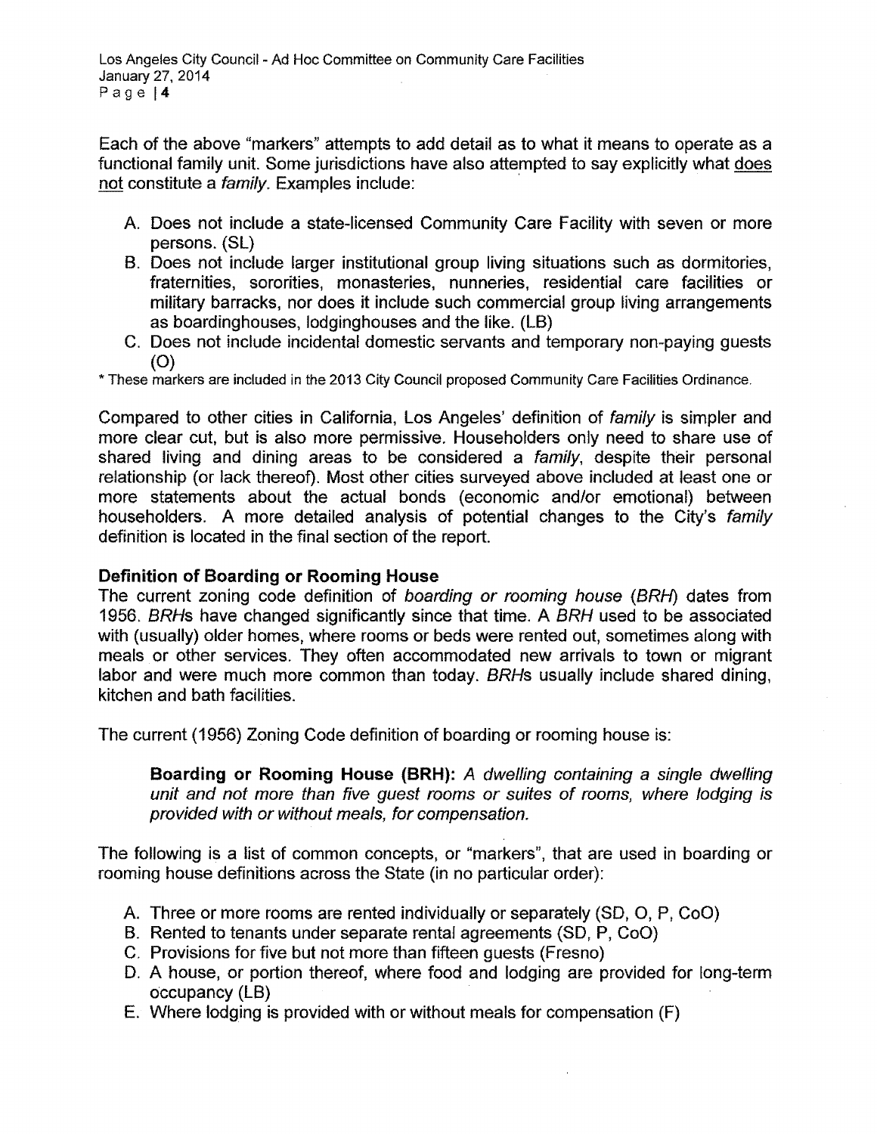Each of the above "markers" attempts to add detail as to what it means to operate as a functional family unit. Some jurisdictions have also attempted to say explicitly what does not constitute a *family.* Examples include: '

- A. Does not include a state-licensed Community Care Facility with seven or more persons. (SL)
- B. Does not include larger institutional group living situations such as dormitories, fraternities, sororities, monasteries, nunneries, residential care facilities or military barracks, nor does it include such commercial group living arrangements as boardinghouses, lodging houses and the like. (LB)
- C. Does not include incidental domestic servants and temporary non-paying guests  $(O)$

\* These markers are included in the 2013 City Council proposed Community Care Facilities Ordinance.

Compared to other cities in California, Los Angeles' definition of *family* is simpler and more clear cut, but is also more permissive. Householders only need to share use of shared living and dining areas to be considered a *family,* despite their personal relationship (or lack thereof). Most other cities surveyed above included at least one or more statements about the actual bonds (economic and/or emotional) between householders. A more detailed analysis of potential changes to the City's *family* definition is located in the final section of the report.

# **Definition of Boarding or Rooming House**

The current zoning code definition of *boarding* or *rooming house* (BRH) dates from *1956. BRHs* have changed significantly since that time. A *BRH* used to be associated with (usually) older homes, where rooms or beds were rented out, sometimes along with meals or other services. They often accommodated new arrivals to town or migrant labor and were much more common than today. *BRHs* usually include shared dining, kitchen and bath facilities.

The current (1956) Zoning Code definition of boarding or rooming house is:

**Boarding or Rooming House (BRH):** *A dwelling containing* a *single dwelling unit and not more than five guest rooms* or *suites of rooms, where lodging is provided with* or *without meals, for compensation.*

The following is a list of common concepts, or "markers", that are used in boarding or rooming house definitions across the State (in no particular order):

- A. Three or more rooms are rented individually or separately (SO, 0, P, CoO)
- B. Rented to tenants under separate rental agreements (SO, P, CoO)
- C. Provisions for five but not more than fifteen guests (Fresno)
- D. A house, or portion thereof, where food and lodging are provided for long-term occupancy (LB)
- E. Where lodging is provided with or without meals for compensation (F)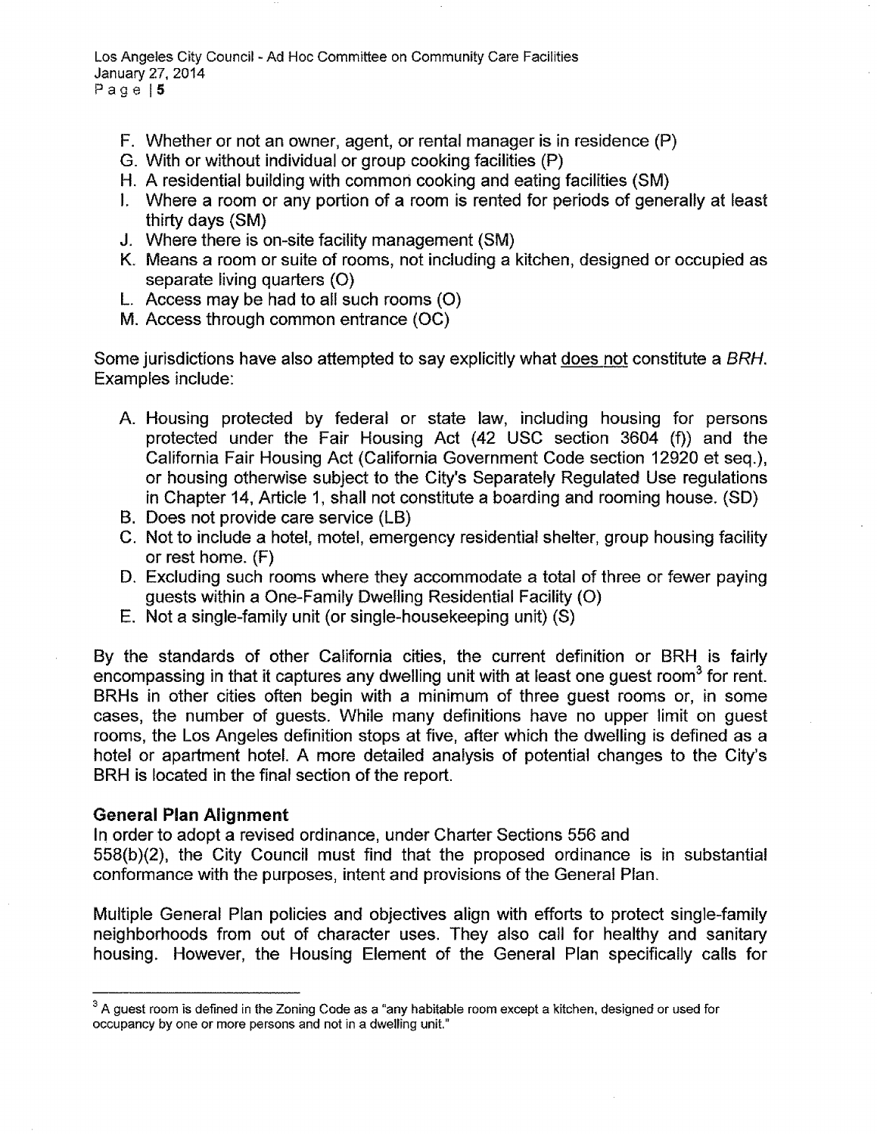Los Angeles City Council- Ad Hoc Committee on Community Care Facilities January 27, 2014 Page 15

- F. Whether or not an owner, agent, or rental manager is in residence (P)
- G. With or without individual or group cooking facilities (P)
- H. A residential building with common cooking and eating facilities (SM)
- I. Where a room or any portion of a room is rented for periods of generally at least thirty days (SM)
- J. Where there is on-site facility management (SM)
- K. Means a room or suite of rooms, not including a kitchen, designed or occupied as separate living quarters (0)
- L. Access may be had to all such rooms (0)
- M. Access through common entrance (OC)

Some jurisdictions have also attempted to say explicitly what does not constitute a *BRH.* Examples include:

- A. Housing protected by federal or state law, including housing for persons protected under the Fair Housing Act (42 USC section 3604 (f)) and the California Fair Housing Act (California Government Code section 12920 et seq.), or housing otherwise subject to the City's Separately Regulated Use regulations in Chapter 14, Article 1, shall not constitute a boarding and rooming house. (SO)
- B. Does not provide care service (LB)
- C. Not to include a hotel, motel, emergency residential shelter, group housing facility or rest home. (F)
- D. Excluding such rooms where they accommodate a total of three or fewer paying guests within a One-Family Dwelling Residential Facility (0)
- E. Not a single-family unit (or single-housekeeping unit) (S)

By the standards of other California cities, the current definition or BRH is fairly encompassing in that it captures any dwelling unit with at least one quest room<sup>3</sup> for rent. BRHs in other cities often begin with a minimum of three guest rooms or, in some cases, the number of guests. While many definitions have no upper limit on guest rooms, the Los Angeles definition stops at five, after which the dwelling is defined as a hotel or apartment hotel. A more detailed analysis of potential changes to the City's BRH is located in the final section of the report.

## General Plan Alignment

In order to adopt a revised ordinance, under Charter Sections 556 and

558(b)(2), the City Council must find that the proposed ordinance is in substantial conformance with the purposes, intent and provisions of the General Plan.

Multiple General Plan policies and objectives align with efforts to protect single-family neighborhoods from out of character uses. They also call for healthy and sanitary housing. However, the Housing Element of the General Plan specifically calls for

<sup>&</sup>lt;sup>3</sup> A guest room is defined in the Zoning Code as a "any habitable room except a kitchen, designed or used for occupancy by one or more persons and not in a dwelling unit."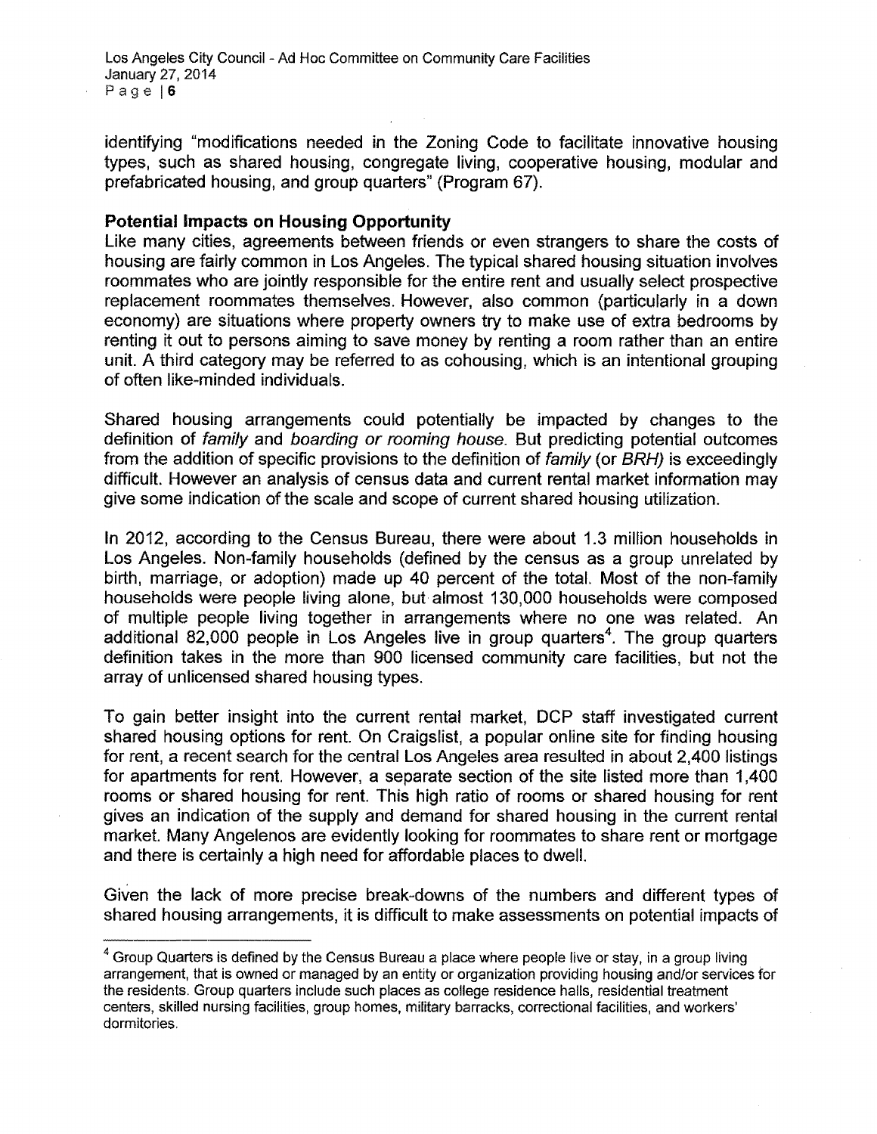identifying "modifications needed in the Zoning Code to facilitate innovative housing types, such as shared housing, congregate living, cooperative housing, modular and prefabricated housing, and group quarters" (Program 67).

# **Potential Impacts on Housing Opportunity**

Like many cities, agreements between friends or even strangers to share the costs of housing are fairly common in Los Angeles. The typical shared housing situation involves roommates who are jointly responsible for the entire rent and usually select prospective replacement roommates themselves. However, also common (particularly in a down economy) are situations where property owners try to make use of extra bedrooms by renting it out to persons aiming to save money by renting a room rather than an entire unit. A third category may be referred to as cohousing, which is an intentional grouping of often like-minded individuals.

Shared housing arrangements could potentially be impacted by changes to the definition of *family* and *boarding or rooming house.* But predicting potential outcomes from the addition of specific provisions to the definition of *family* (or *BRH)* is exceedingly difficult. However an analysis of census data and current rental market information may give some indication of the scale and scope of current shared housing utilization.

In 2012, according to the Census Bureau, there were about 1.3 million households in Los Angeles. Non-family households (defined by the census as a group unrelated by birth, marriage, or adoption) made up 40 percent of the total. Most of the non-family households were people living alone, but almost 130,000 households were composed of multiple people living together in arrangements where no one was related. An additional 82,000 people in Los Angeles live in group quarters<sup>4</sup>. The group quarters definition takes in the more than 900 licensed community care facilities, but not the array of unlicensed shared housing types.

To gain better insight into the current rental market, DCP staff investigated current shared housing options for rent. On Craigslist, a popular online site for finding housing for rent, a recent search for the central Los Angeles area resulted in about 2,400 listings for apartments for rent. However, a separate section of the site listed more than 1,400 rooms or shared housing for rent. This high ratio of rooms or shared housing for rent gives an indication of the supply and demand for shared housing in the current rental market. Many Angelenos are evidently looking for roommates to share rent or mortgage and there is certainly a high need for affordable places to dwell.

Given the lack of more precise break-downs of the numbers and different types of shared housing arrangements, it is difficult to make assessments on potential impacts of

<sup>&</sup>lt;sup>4</sup> Group Quarters is defined by the Census Bureau a place where people live or stay, in a group living arrangement, that is owned or managed by an entity or organization providing housing and/or services for the residents. Group quarters include such places as college residence halls, residential treatment centers, skilled nursing facilities, group homes, military barracks, correctional facilities, and workers' dormitories.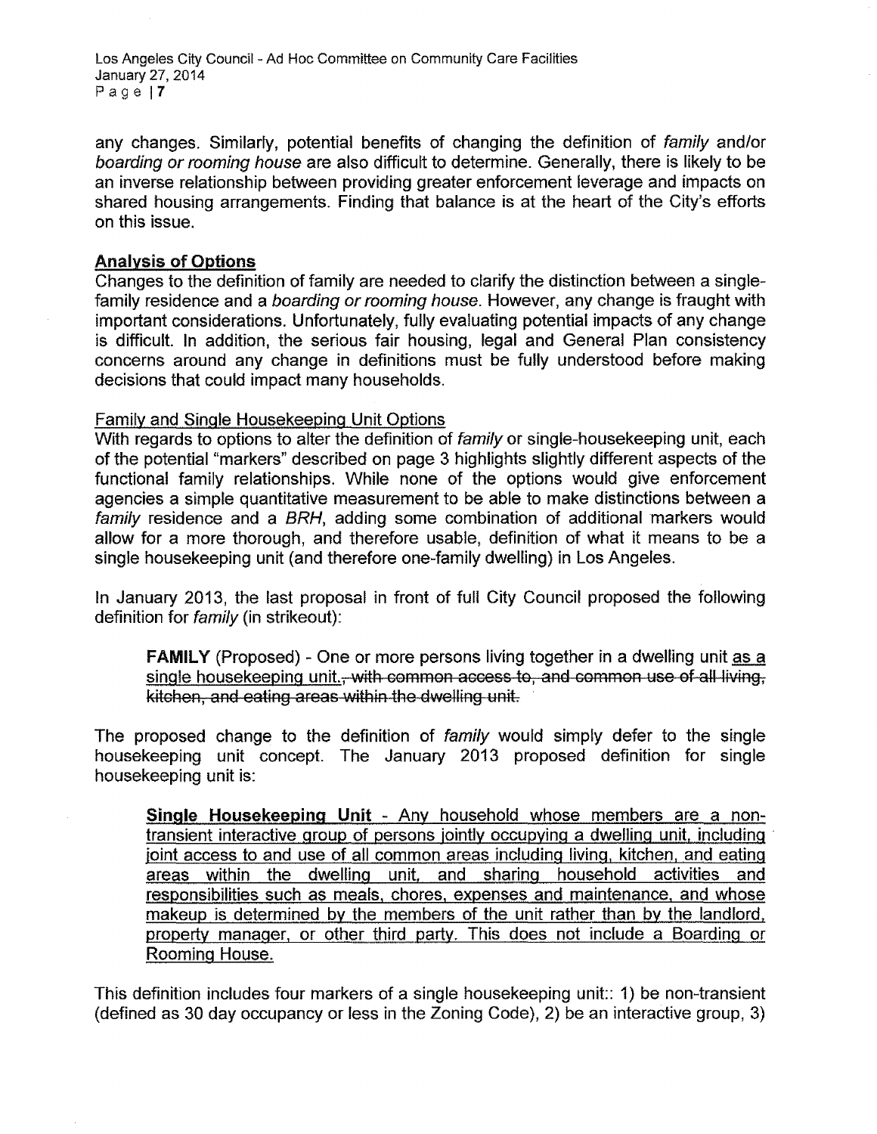Los Angeles City Council- Ad Hoc Committee on Community Care Facilities January 27,2014 Page 17

any changes. Similarly, potential benefits of changing the definition of *family* and/or *boarding or rooming house* are also difficult to determine. Generally, there is likely to be an inverse relationship between providing greater enforcement leverage and impacts on shared housing arrangements. Finding that balance is at the heart of the City's efforts on this issue.

## Analysis of Options

Changes to the definition of family are needed to clarify the distinction between a singlefamily residence and a *boarding or rooming house.* However, any change is fraught with important considerations. Unfortunately, fully evaluating potential impacts of any change is difficult. In addition, the serious fair housing, legal and General Plan consistency concerns around any change in definitions must be fully understood before making decisions that could impact many households.

## Family and Single Housekeeping Unit Options

With regards to options to alter the definition of *family* or single-housekeeping unit, each of the potential "markers" described on page 3 highlights slightly different aspects of the functional family relationships. While none of the options would give enforcement agencies a simple quantitative measurement to be able to make distinctions between a *family* residence and a *BRH,* adding some combination of additional markers would allow for a more thorough, and therefore usable, definition of what it means to be a single housekeeping unit (and therefore one-family dwelling) in Los Angeles.

In January 2013, the last proposal in front of full City Council proposed the following definition for *family* (in strikeout):

FAMILY (Proposed) - One or more persons living together in a dwelling unit as a single housekeeping unit.<del>, with common access to, and common use of all living,</del> kitchen, and eating areas within the dwelling unit.

The proposed change to the definition of *family* would simply defer to the single housekeeping unit concept. The January 2013 proposed definition for single housekeeping unit is:

Single Housekeeping Unit - Any household whose members are a nontransient interactive group of persons jointly occupying a dwelling unit, including . joint access to and use of all common areas including living, kitchen, and eating areas within the dwelling unit, and sharing household activities and responsibilities such as meals, chores, expenses and maintenance, and whose makeup is determined by the members of the unit rather than by the landlord, property manager, or other third party. This does not include a Boarding or Rooming House.

This definition includes four markers of a single housekeeping unit:: 1) be non-transient (defined as 30 day occupancy or less in the Zoning Code), 2) be an interactive group, 3)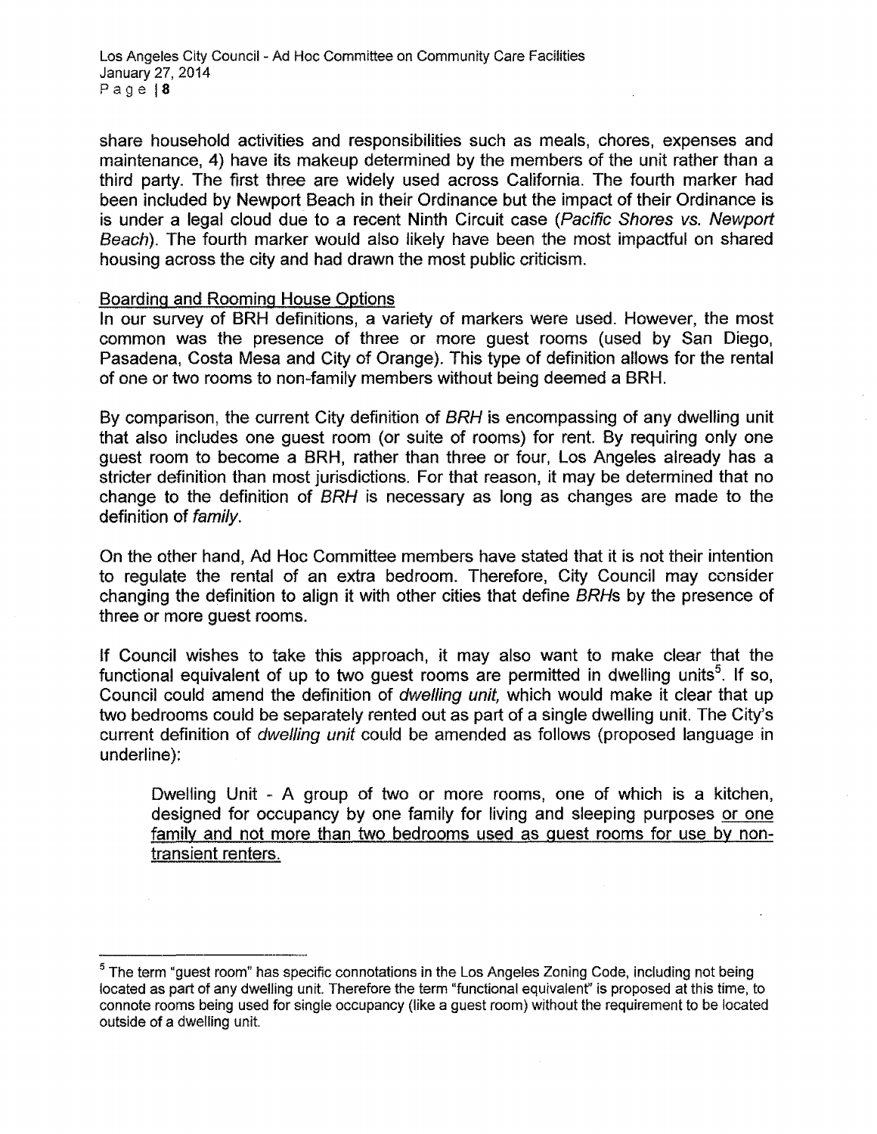share household activities and responsibilities such as meals, chores, expenses and maintenance, 4) have its makeup determined by the members of the unit rather than a third party. The first three are widely used across California. The fourth marker had been included by Newport Beach in their Ordinance but the impact of their Ordinance is is under a legal cloud due to a recent Ninth Circuit case *(Pacific Shores vs. Newport Beach).* The fourth marker would also likely have been the most impactful on shared housing across the city and had drawn the most public criticism.

## Boarding and Rooming House Options

In our survey of BRH definitions, a variety of markers were used. However, the most common was the presence of three or more guest rooms (used by San Diego, Pasadena, Costa Mesa and City of Orange). This type of definition allows for the rental of one or two rooms to non-family members without being deemed a BRH.

By comparison, the current City definition of *BRH* is encompassing of any dwelling unit that also includes one guest room (or suite of rooms) for rent. By requiring only one guest room to become a BRH, rather than three or four, Los Angeles already has a stricter definition than most jurisdictions. For that reason, it may be determined that no change to the definition of *BRH* is necessary as long as changes are made to the definition of *family.*

On the other hand, Ad Hoc Committee members have stated that it is not their intention to regulate the rental of an extra bedroom. Therefore, City Council may consider changing the definition to align it with other cities that define *BRHs* by the presence of three or more guest rooms.

If Council wishes to take this approach, it may also want to make clear that the functional equivalent of up to two guest rooms are permitted in dwelling units<sup>5</sup>. If so, Council could amend the definition of *dwelling unit,* which would make it clear that up two bedrooms could be separately rented out as part of a single dwelling unit. The City's current definition of *dwelling unit* could be amended as follows (proposed language in underline):

Dwelling Unit - A group of two or more rooms, one of which is a kitchen, designed for occupancy by one family for living and sleeping purposes or one family and not more than two bedrooms used as guest rooms for use by nontransient renters.

 $<sup>5</sup>$  The term "guest room" has specific connotations in the Los Angeles Zoning Code, including not being</sup> located as part of any dwelling unit. Therefore the term "functional equivalent" is proposed at this time, to connote rooms being used for single occupancy (like a guest room) without the requirement to be located outside of a dwelling unit.